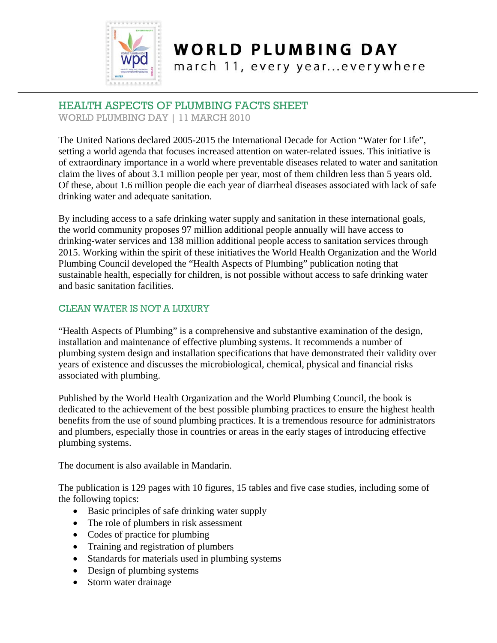

### **WORLD PLUMBING DAY**

march 11, every year...everywhere

### HEALTH ASPECTS OF PLUMBING FACTS SHEET

WORLD PLUMBING DAY | 11 MARCH 2010

The United Nations declared 2005-2015 the International Decade for Action "Water for Life", setting a world agenda that focuses increased attention on water-related issues. This initiative is of extraordinary importance in a world where preventable diseases related to water and sanitation claim the lives of about 3.1 million people per year, most of them children less than 5 years old. Of these, about 1.6 million people die each year of diarrheal diseases associated with lack of safe drinking water and adequate sanitation.

By including access to a safe drinking water supply and sanitation in these international goals, the world community proposes 97 million additional people annually will have access to drinking-water services and 138 million additional people access to sanitation services through 2015. Working within the spirit of these initiatives the World Health Organization and the World Plumbing Council developed the "Health Aspects of Plumbing" publication noting that sustainable health, especially for children, is not possible without access to safe drinking water and basic sanitation facilities.

#### CLEAN WATER IS NOT A LUXURY

"Health Aspects of Plumbing" is a comprehensive and substantive examination of the design, installation and maintenance of effective plumbing systems. It recommends a number of plumbing system design and installation specifications that have demonstrated their validity over years of existence and discusses the microbiological, chemical, physical and financial risks associated with plumbing.

Published by the World Health Organization and the World Plumbing Council, the book is dedicated to the achievement of the best possible plumbing practices to ensure the highest health benefits from the use of sound plumbing practices. It is a tremendous resource for administrators and plumbers, especially those in countries or areas in the early stages of introducing effective plumbing systems.

The document is also available in Mandarin.

The publication is 129 pages with 10 figures, 15 tables and five case studies, including some of the following topics:

- Basic principles of safe drinking water supply
- The role of plumbers in risk assessment
- Codes of practice for plumbing
- Training and registration of plumbers
- Standards for materials used in plumbing systems
- Design of plumbing systems
- Storm water drainage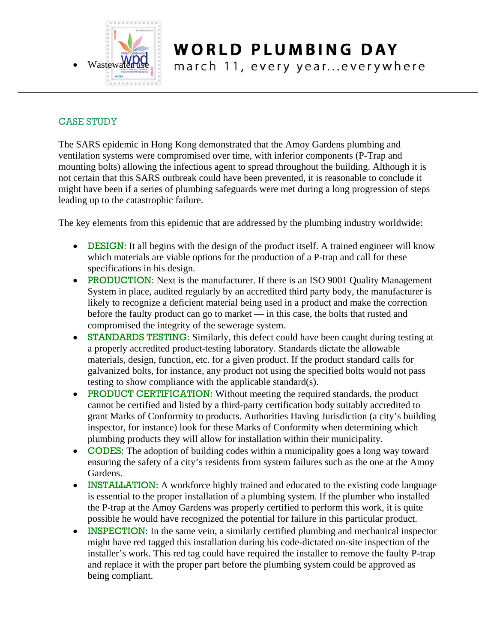

## **WORLD PLUMBING DAY**

march 11, every year...everywhere

#### CASE STUDY

The SARS epidemic in Hong Kong demonstrated that the Amoy Gardens plumbing and ventilation systems were compromised over time, with inferior components (P-Trap and mounting bolts) allowing the infectious agent to spread throughout the building. Although it is not certain that this SARS outbreak could have been prevented, it is reasonable to conclude it might have been if a series of plumbing safeguards were met during a long progression of steps leading up to the catastrophic failure.

The key elements from this epidemic that are addressed by the plumbing industry worldwide:

- **DESIGN:** It all begins with the design of the product itself. A trained engineer will know which materials are viable options for the production of a P-trap and call for these specifications in his design.
- PRODUCTION: Next is the manufacturer. If there is an ISO 9001 Quality Management System in place, audited regularly by an accredited third party body, the manufacturer is likely to recognize a deficient material being used in a product and make the correction before the faulty product can go to market — in this case, the bolts that rusted and compromised the integrity of the sewerage system.
- STANDARDS TESTING: Similarly, this defect could have been caught during testing at a properly accredited product-testing laboratory. Standards dictate the allowable materials, design, function, etc. for a given product. If the product standard calls for galvanized bolts, for instance, any product not using the specified bolts would not pass testing to show compliance with the applicable standard(s).
- **PRODUCT CERTIFICATION:** Without meeting the required standards, the product cannot be certified and listed by a third-party certification body suitably accredited to grant Marks of Conformity to products. Authorities Having Jurisdiction (a city's building inspector, for instance) look for these Marks of Conformity when determining which plumbing products they will allow for installation within their municipality.
- CODES: The adoption of building codes within a municipality goes a long way toward ensuring the safety of a city's residents from system failures such as the one at the Amoy Gardens.
- **INSTALLATION:** A workforce highly trained and educated to the existing code language is essential to the proper installation of a plumbing system. If the plumber who installed the P-trap at the Amoy Gardens was properly certified to perform this work, it is quite possible he would have recognized the potential for failure in this particular product.
- **INSPECTION:** In the same vein, a similarly certified plumbing and mechanical inspector might have red tagged this installation during his code-dictated on-site inspection of the installer's work. This red tag could have required the installer to remove the faulty P-trap and replace it with the proper part before the plumbing system could be approved as being compliant.